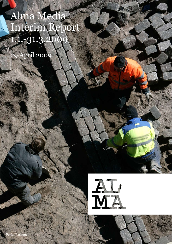Alma Media Interim Report 1.1.-31.3.2009

29 April 2009

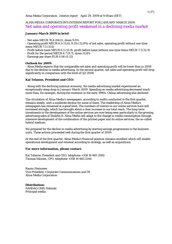## ALMA MEDIA CORPORATION'S INTERIM REPORT FOR JANUARY-MARCH 2009: Net sales and operating profit weakened in a declining media market

## **January-March 2009 in brief:**

- Net sales MEUR 76.4 (84.0), down 9.0%

- Operating profit MEUR 6.5 (11.6), 8.5% (13.8%) of net sales, operating profit without one-time items MEUR 7.5 (11.6)

- Profit before taxes MEUR 6.5 (12.9), profit before taxes without one-time items MEUR 7.5 (12.9)

- Profit for the period MEUR 4.7 (9.7), down 51.8%

- Earnings per share EUR 0.06 (0.13)

## **Outlook for 2009:**

- Alma Media expects that the comparable net sales and operating profit will be lower than in 2008 due to the decline in media advertising. In the second quarter, net sales and operating profit will drop significantly in comparison with the level of Q2/2008.

## **Kai Telanne, President and CEO:**

- Along with the declining national economy, the media advertising market experienced an exceptionally steep drop in January-March 2009. Spending on media advertising decreased much more than, for example, during the recession in the early 1990s. Online advertising also declined.

The circulation of Alma Media's newspapers, according to audits conducted in the first quarter, remains steady, with a moderate decline for some of them. The readership of Alma Media's newspapers has remained at a good level. The numbers of visitors in our online services have still increased strongly, which has brought about a clear increase in our total reach. The long-term investments in the development of the online services are now being seen particularly in the growing advertising sales of Iltalehti.fi. Alma Media will adapt to the change in media consumption through intensive development of the combination of the printed paper and its online services, the so-called hybrid medium.

We prepared for the decline in media advertising by starting savings programmes in the business units. These actions proceeded well during the first quarter of 2009.

At the end of the first quarter, Alma Media's financial position remains excellent which will enable operational development and renewal according to strategy, as well as acquisitions.

## **For more information, please contact:**

Kai Telanne, President and CEO, telephone +358 10 665 3500 Tuomas Itkonen, CFO, telephone +358 10 665 2244

Rauno Heinonen Vice President, Corporate Communications and IR Alma Media Corporation

**Distribution:**  NASDAQ OMX Helsinki Principal media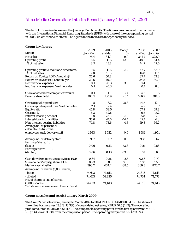## Alma Media Corporation: Interim Report January 1-March 31, 2009

The text of this review focuses on the January-March results. The figures are compared in accordance with the International Financial Reporting Standards (IFRS) with those of the corresponding period in 2008, unless otherwise stated. The figures in the tables are independently rounded.

| <b>Group key figures</b>                                                       |         |         |         |         |         |
|--------------------------------------------------------------------------------|---------|---------|---------|---------|---------|
|                                                                                | 2009    | 2008    | Change  | 2008    | 2007    |
| <b>MEUR</b>                                                                    | Jan-Mar | Jan-Mar | %       | Jan-Dec | Jan-Dec |
| Net sales                                                                      | 76.4    | 84.0    | $-9.0$  | 341.2   | 328.9   |
| <b>Operating profit</b>                                                        | 6.5     | 11.6    | $-43.9$ | 48.3    | 64.4    |
| % of net sales                                                                 | 8.5     | 13.8    |         | 14.2    | 19.6    |
| Operating profit without one-time items                                        | 7.5     | 11.6    | $-35.2$ | 47.7    | 52.9    |
| % of net sales                                                                 | 9.8     | 13.8    |         | 14.0    | 16.1    |
| Return on Equity/ROE (Annually)*                                               | 25.6    | 50.8    |         | 37.7    | 43.8    |
| Return on Invest/ROI (Annually)*                                               | 20.6    | 40.0    |         | 34.8    | 39.9    |
| Net financial expenses                                                         | 0.1     | $-0.3$  | 133.0   | 0.4     | $-0.1$  |
| Net financial expenses, % of net sales                                         | 0.1     | $-0.3$  |         | 0.1     | 0.0     |
| Share of associated companies' results                                         | 0.1     | 1.0     | $-87.4$ | 4.5     | 3.5     |
| <b>Balance sheet total</b>                                                     | 180.7   | 180.9   | $-0.1$  | 166.9   | 181.3   |
| Gross capital expenditure                                                      | 1.5     | 6.2     | $-75.8$ | 14.5    | 12.1    |
| Gross capital expenditure, % of net sales                                      | 2.1     | 7.4     |         | 4.2     | 3.7     |
| <b>Equity ratio</b>                                                            | 45.8    | 39.5    |         | 57.2    | 69.8    |
| Gearing, %                                                                     | 5.3     | 42.6    |         | 6.5     | $-15.2$ |
| Interest-bearing net debt                                                      | 3.8     | 25.8    | $-85.3$ | 5.8     | $-17.9$ |
| <b>Interest-bearing liabilities</b>                                            | 35.6    | 41.6    | $-14.4$ | 19.1    | 6.8     |
| Non-interest-bearing liabilities                                               | 74.8    | 78.6    | $-4.8$  | 59.3    | 56.2    |
| Average no. of personnel,                                                      |         |         |         |         |         |
| calculated as full-time                                                        |         |         |         |         |         |
| employees, excl. delivery staff                                                | 1933    | 1932    | 0.0     | 1981    | 1971    |
| Average no. of delivery staff                                                  | 937     | 937     | 0.0     | 968     | 962     |
| Earnings/share, EUR                                                            |         |         |         |         |         |
| (basic)                                                                        | 0.06    | 0.13    | $-53.8$ | 0.51    | 0.68    |
| Earnings/share, EUR                                                            |         |         |         |         |         |
| (diluted)                                                                      | 0.06    | 0.13    | $-53.8$ | 0.51    | 0.68    |
| Cash flow from operating activities, EUR                                       | 0.34    | 0.36    | $-5.6$  | 0.63    | 0.70    |
| Shareholders' equity/share, EUR                                                | 0.93    | 0.80    | 16.3    | 1.18    | 1.58    |
| Market capitalization                                                          | 390.2   | 634.2   | $-38.5$ | 369.3   | 870.7   |
| Average no. of shares (1,000 shares)                                           |         |         |         |         |         |
| - basic                                                                        | 74,613  | 74,613  |         | 74,613  | 74,613  |
| - diluted                                                                      | 74,613  | 74,825  |         | 74,764  | 74,773  |
| No. of shares at end of period                                                 |         |         |         |         |         |
| $(1,000 \text{ shares})$<br>*ref. Main accounting principles of Interim Report | 74,613  | 74,613  |         | 74,613  | 74,613  |
|                                                                                |         |         |         |         |         |

## **Group net sales and result January-March 2009**

The Group's net sales from January to March 2009 totalled MEUR 76.4 (MEUR 84.0). The share of the online business was 13.8% (13.3%) of consolidated net sales, MEUR 10.5 (11.2). The operating profit amounted to MEUR 6.5 (11.6). The comparable operating profit for the first quarter was MEUR 7.5 (11.6), down 35.3% from the comparison period. The operating margin was 8.5% (13.8%).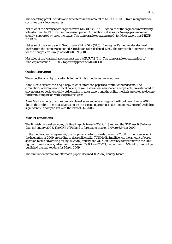The operating profit includes one-time items in the amount of MEUR 1.0 (0.0) from reorganisation costs due to savings measures.

Net sales of the Newspapers segment were MEUR 53.9 (57.3). Net sales of the segment's advertising sales declined 14.1% from the comparison period. Circulation net sales for Newspapers increased slightly, supported by price increases. The comparable operating profit for Newspapers was MEUR 7.6 (9.3).

Net sales of the Kauppalehti Group were MEUR 16.2 (18.5). The segment's media sales declined 25.6% from the comparison period. Circulation sales declined 4.9%. The comparable operating profit for the Kauppalehti Group was MEUR 0.9 (2.0).

Net sales of the Marketplaces segment were MEUR 7.2 (9.1). The comparable operating loss of Marketplaces was MEUR 0.2 (operating profit of MEUR 1.1).

## **Outlook for 2009**

The exceptionally high uncertainty in the Finnish media market continues.

Alma Media expects the single-copy sales of afternoon papers to continue their decline. The circulations of regional and local papers, as well as business newspaper Kauppalehti, are estimated to stay neutral or decline slightly. Advertising in newspapers and the online media is expected to decline further in comparison with the previous year.

Alma Media expects that the comparable net sales and operating profit will be lower than in 2008 due to the decline in media advertising. In the second quarter, net sales and operating profit will drop significantly in comparison with the level of Q2/2008.

## **Market conditions**

The Finnish national economy declined rapidly in early 2009. In January, the GNP was 9.8% lower than in January 2008. The GNP of Finland is forecast to weaken 3.0% to 6.5% in 2009.

In the media advertising market, the drop that started towards the end of 2008 further steepened in the beginning of 2009. According to data collected by TNS Media Intelligence, the amount of euros spent on media advertising fell by 16.7% in January and 21.9% in February compared with the 2008 figures. In newspapers, advertising decreased 22.8% and 25.7%, respectively. TNS Gallup has not yet published the market data for March 2009.

The circulation market for afternoon papers declined 11.7% in January-March.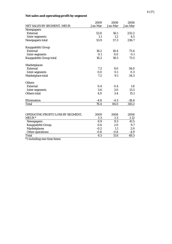## **Net sales and operating profit by segment**

|                                   | 2009    | 2008    | 2008     |
|-----------------------------------|---------|---------|----------|
| NET SALES BY SEGMENT, MEUR        | Jan-Mar | Jan-Mar | Jan-Mar  |
| <b>Newspapers</b>                 |         |         |          |
| <b>External</b>                   | 52.8    | 56.1    | 232.2    |
| Inter-segments                    | 1.1     | 1.2     | 4.5      |
| Newspapers total                  | 53.9    | 57.3    | 236.7    |
| Kauppalehti Group                 |         |         |          |
| <b>External</b>                   | 16.2    | 18.4    | 73.4     |
| <b>Inter-segments</b>             | 0.1     | 0.0     | 0.1      |
| Kauppalehti Group total           | 16.2    | 18.5    | 73.5     |
| <b>Marketplaces</b>               |         |         |          |
| <b>External</b>                   | 7.2     | 9.0     | 34.0     |
| Inter-segments                    | 0.0     | 0.1     | 0.3      |
| Marketplace total                 | 7.2     | 9.1     | 34.3     |
| <b>Others</b>                     |         |         |          |
| <b>External</b>                   | 0.4     | 0.4     | 1.6      |
| Inter-segments                    | 3.6     | 3.0     | 13.5     |
| Others total                      | 4.0     | 3.4     | 15.1     |
| Elimination                       | $-4.8$  | $-4.3$  | $-18.4$  |
| <b>Total</b>                      | 76.4    | 84.0    | 341.2    |
|                                   |         |         |          |
| OPERATING PROFIT/LOSS BY SEGMENT, | 2009    | 2008    | 2008     |
| MEUR *                            | $1-3$   | $1-3$   | $1 - 12$ |
| <b>Newspapers</b>                 | 6.9     | 9.3     | 41.5     |
| Kauppalehti Group                 | 0.6     | 2.0     | 9.7      |
| <b>Marketplaces</b>               | $-0.2$  | 1.1     | 2.0      |
| Other operations                  | $-0.8$  | $-0.8$  | $-4.9$   |
| <b>Total</b>                      | 6.5     | 11.6    | 48.3     |
| *) including one-time items       |         |         |          |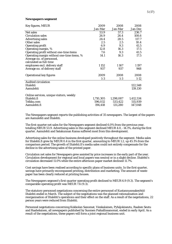## **Newspapers segment**

| Key figures, MEUR                          | 2009      | 2008      | 2008      |
|--------------------------------------------|-----------|-----------|-----------|
|                                            | Jan-Mar   | Jan-Mar   | Jan-Dec   |
| Net sales                                  | 53.9      | 57.3      | 236.7     |
| <b>Circulation sales</b>                   | 26.9      | 26.4      | 108.6     |
| <b>Advertising sales</b>                   | 24.4      | 28.5      | 117.7     |
| Other sales                                | 2.5       | 2.5       | 10.4      |
| <b>Operating profit</b>                    | 6.9       | 9.3       | 41.5      |
| Operating margin, %                        | 12.8      | 16.3      | 17.5      |
| Operating profit without one-time items    | 7.6       | 9.3       | 41.5      |
| Operating margin without one-time items, % | 14.1      | 16.3      | 17.5      |
| Average no. of personnel,                  |           |           |           |
| calculated as full-time                    |           |           |           |
| employees excl. delivery staff             | 1 1 5 2   | 1167      | 1 197     |
| Average no. of delivery staff              | 937       | 937       | 968       |
|                                            |           |           |           |
| <b>Operational key figures</b>             | 2009      | 2008      | 2008      |
|                                            | $1-3$     | $1-3$     | $1-12$    |
| <b>Audited circulation</b>                 |           |           |           |
| Iltalehti                                  |           |           | 122,548   |
| Aamulehti                                  |           |           | 139,130   |
|                                            |           |           |           |
| Online services, unique visitors, weekly   |           |           |           |
| Iltalehti.fi                               | 1,710,305 | 1,298,087 | 1,412,534 |
| Telkku.com                                 | 596,032   | 533,422   | 515,939   |
| Aamulehti.fi                               | 194,418   | 131,280   | 147,048   |

The Newspapers segment reports the publishing activities of 35 newspapers. The largest of the papers are Aamulehti and Iltalehti.

The first-quarter net sales for the Newspapers segment declined 6.0% from the previous year, totalling MEUR 53.9. Advertising sales in this segment declined MEUR 4.0, -14.1%, during the first quarter. Aamulehti and Satakunnan Kansa suffered most from this development.

Advertising sales for the online business developed positively throughout the segment. Media sales for Iltalehti.fi grew by MEUR 0.4 in the first quarter, amounting to MEUR 1.2, up 45.1% from the comparison period. The growth of Iltalehti.fi's media sales could not entirely compensate for the decline in the advertising sales of the printed paper.

Circulation net sales for Newspapers grew assisted by price increases in the early part of the year. Circulation development for regional and local papers was neutral or in a slight decline. Iltalehti's circulation decreased 11.0% while the entire afternoon paper market declined 11.7%.

Cost savings have been realised according to specific plans of business units. In the first quarter, savings have primarily encompassed printing, distribution and marketing. The amount of waste paper has been clearly reduced at printing houses.

The Newspapers segment's first-quarter operating profit declined to MEUR 6.9 (9.3). The segment's comparable operating profit was MEUR 7.6 (9.3).

The statutory personnel negotiations concerning the entire personnel of Kustannusosakeyhtiö Iltalehti ended in March. The subject of the negotiations was the planned rationalisation and reorganisation of Iltalehti's operations and their effect on the staff. As a result of the negotiations, 22 person years were reduced from Iltalehti.

Personnel negotiations concerning Kokkolan Sanomat, Vieskalainen, Pyhäjokiseutu, Raahen Seutu and Raahelainen, all newspapers published by Suomen Paikallissanomat, ended in early April. As a result of the negotiations, these papers will form a joint regional business unit.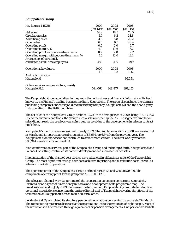## 6 (17)

### **Kauppalehti Group**

| Key figures, MEUR                          | 2009    | 2008    | 2008    |
|--------------------------------------------|---------|---------|---------|
|                                            | Jan-Mar | Jan-Mar | Jan-Dec |
| Net sales                                  | 16.2    | 18.5    | 73.5    |
| <b>Circulation sales</b>                   | 5.9     | 6.2     | 24.8    |
| <b>Advertising sales</b>                   | 4.3     | 5.8     | 22.2    |
| Other sales                                | 6.0     | 6.5     | 26.4    |
| <b>Operating profit</b>                    | 0.6     | 2.0     | 9.7     |
| Operating margin, %                        | 4.0     | 10.6    | 13.2    |
| Operating profit without one-time items    | 0.9     | 2.0     | 9.7     |
| Operating margin without one-time items, % | 5.6     | 10.6    | 13.2    |
| Average no. of personnel,                  |         |         |         |
| calculated as full-time employees          | 488     | 497     | 499     |
| <b>Operational key figures</b>             | 2009    | 2008    | 2008    |
|                                            | $1-3$   | $1-3$   | $1-12$  |
| <b>Audited circulation</b>                 |         |         |         |
| Kauppalehti                                |         |         | 86,654  |
| Online services, unique visitors, weekly   |         |         |         |
| Kauppalehti.fi                             | 544,064 | 348,877 | 391,453 |

The Kauppalehti Group specialises in the production of business and financial information. Its best known title is Finland's leading business medium, Kauppalehti. The group also includes the contract publishing company Lehdentekijät, direct marketing company Kauppalehti 121 and the news agency BNS operating in the Baltic countries.

The net sales of the Kauppalehti Group declined 12.2% in the first quarter of 2009, being MEUR 16.2. Due to the market conditions, the group's media sales declined by 25.6%. The segment's circulation sales did not reach the previous year's first-quarter level due to the developments in sales in contract publishing.

Kauppalehti's main title was redesigned in early 2009. The circulation audit for 2008 was carried out in March, and it reported a record circulation of 86,654, up 6.5% from the previous year. The Kauppalehti.fi online service has continued to attract more visitors. The latest weekly record is 580,944 weekly visitors on week 14.

Market information services, part of the Kauppalehti Group and including ePortti, Kauppalehti.fi and Balance Consulting, continued its content development and increased its net sales.

Implementation of the planned cost savings have advanced in all business units of the Kauppalehti Group. The most significant savings have been achieved in printing and distribution costs, as well as sales and marketing operations.

The operating profit of the Kauppalehti Group declined MEUR 1.3 and was MEUR 0.6. The comparable operating profit for the group was MEUR 0.9 (2.0).

The television channel MTV Oy terminated the cooperation agreement concerning Kauppalehti Business News as part of its efficiency initiative and development of its programme map. The broadcasts will end in July 2009. Because of the termination, Kauppalehti Oy has initiated statutory personnel negotiations concerning the entire editorial staff of Kauppalehti covering the effects of the termination on Kauppalehti's cross-media editorial office.

Lehdentekijät Oy completed its statutory personnel negotiations concerning its entire staff in March. The restructuring measures discussed at the negotiations led to the reduction of eight people. Most of the reductions will be realised through agreements or pension arrangements. One person was laid off.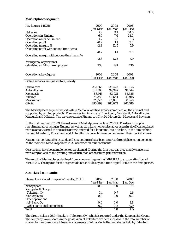## 7 (17)

### **Marketplaces segment**

| Key figures, MEUR                          | 2009    | 2008    | 2008    |
|--------------------------------------------|---------|---------|---------|
|                                            | Jan-Mar | Jan-Mar | Jan-Dec |
| Net sales                                  | 7.2     | 9.1     | 34.3    |
| <b>Operations in Finland</b>               | 6.0     | 7.6     | 28.0    |
| <b>Operations outside Finland</b>          | 1.2     | 1.5     | 6.3     |
| <b>Operating profit</b>                    | $-0.2$  | 1.1     | 2.0     |
| Operating margin, %                        | $-2.8$  | 12.5    | 5.9     |
| Operating profit without one-time items    |         |         |         |
|                                            | $-0.2$  | 1.1     | 2.0     |
| Operating margin without one-time items, % |         |         |         |
|                                            | $-2.8$  | 12.5    | 5.9     |
| Average no. of personnel,                  |         |         |         |
| calculated as full-time employees          | 230     | 199     | 216     |
|                                            |         |         |         |
|                                            |         |         |         |
| <b>Operational key figures</b>             | 2009    | 2008    | 2008    |
|                                            | Jan-Mar | Jan-Mar | Jan-Dec |
| Online services, unique visitors, weekly   |         |         |         |
| Etuovi.com                                 | 351,666 | 326,423 | 321,176 |
| Autotalli.com                              | 101,303 | 99,947  | 91,744  |
| Monster.fi                                 | 83,915  | 83,931  | 65,585  |
| Mikko.fi                                   | 78,380  | 42,664  | 47,915  |
| Mascus.com                                 | 127,551 | 61,035  | 80,679  |
| City24                                     | 290,999 | 264,072 | 265,516 |

The Marketplaces segment reports Alma Media's classified services produced on the internet and supported by printed products. The services in Finland are Etuovi.com, Monster.fi, Autotalli.com, Mascus.fi and Mikko.fi. The services outside Finland are City 24, Motors 24, Mascus and Bovision.

In the first quarter of 2009, the net sales of Marketplaces declined 20.7%. The drastic drop in recruitment advertising in Finland, as well as shrinking home sales advertising in all of Marketplaces' market areas, turned the net sales growth enjoyed for a long time into a decline. In the diminishing market, Monster.fi, Etuovi.com and Autotalli.com have, however, all increased their market shares.

Mascus has continued to expand, and new countries have been entered through licence agreements. At the moment, Mascus operates in 29 countries on four continents.

Cost savings have been implemented as planned. During the first quarter, they mainly concerned marketing as well as the printing and distribution of the Etuovi printed version.

The result of Marketplaces declined from an operating profit of MEUR 1.1 to an operating loss of MEUR 0.2. The figures for the segment do not include any one-time capital items in the first quarter.

#### **Associated companies**

| Share of associated companies' results, MEUR | 2009    | 2008    | 2008    |
|----------------------------------------------|---------|---------|---------|
|                                              | Jan-Mar | Jan-Mar | Jan-Dec |
| <b>Newspapers</b>                            | 0.0     | 0.0     | 0.1     |
| Kauppalehti Group                            |         |         |         |
| Talentum Oyj                                 | $-0.1$  | 0.7     | 1.6     |
| <b>Marketplaces</b>                          | 0.0     | 0.0     | 0.0     |
| Other operations                             |         |         |         |
| AP-Paino Oy                                  | 0.0     | 0.0     | 1.8     |
| Other associated companies                   | 0.2     | 0.2     | 0.9     |
| <b>Total</b>                                 | 0.1     | 1.0     | 4.5     |

The Group holds a 29.9-% stake in Talentum Oyj, which is reported under the Kauppalehti Group. The company's own shares in the possession of Talentum are here included in the total number of shares. In the consolidated financial statements of Alma Media the own shares held by Talentum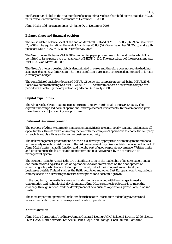itself are not included in the total number of shares. Alma Media's shareholding was stated as 30.3% in its consolidated financial statements of December 31, 2008.

Alma Media sold its ownership in AP-Paino Oy in December 2008.

### **Balance sheet and financial position**

The consolidated balance sheet at the end of March 2009 stood at MEUR 180.7 (166.9 on December 31, 2008). The equity ratio at the end of March was 45.8% (57.2% on December 31, 2008) and equity per share was EUR 0.93 (1.18 on December 31, 2008).

The Group currently has a MEUR 100 commercial paper programme in Finland under which it is permitted to issue papers to a total amount of MEUR 0-100. The unused part of the programme was MEUR 70.2 on March 31, 2009.

The Group's interest-bearing debt is denominated in euros and therefore does not require hedging against exchange rate differences. The most significant purchasing contracts denominated in foreign currency are hedged.

The consolidated cash flow decreased MEUR 1.2 below the comparison period, being MEUR 25.6. Cash flow before financing was MEUR 24.8 (24.0). The investment cash flow for the comparison period was affected by the acquisition of Jadecon Oy in early 2008.

## **Capital expenditure**

The Alma Media Group's capital expenditure in January-March totalled MEUR 1.5 (6.2). The expenditure comprised normal operational and replacement investments. In the comparison year, the entire stock of Jadecon Oy was purchased.

#### **Risks and risk management**

The purpose of Alma Media's risk management activities is to continuously evaluate and manage all opportunities, threats and risks in conjunction with the company's operations to enable the company to reach its set objectives and to secure business continuity.

The risk management process identifies the risks, develops appropriate risk management methods and regularly reports on risk issues to the risk management organisation. Risk management is part of Alma Media's internal audit function and thereby part of good corporate governance. Written limits and processing methods are set for quantitative and qualitative risks by the corporate risk management system.

The strategic risks for Alma Media are a significant drop in the readership of its newspapers and a decline in advertising sales. Fluctuating economic cycles are reflected on the development of advertising sales, which accounts for approximately half of the Group net sales. Developing businesses outside Finland, such as the Baltic countries and other East European countries, include country-specific risks relating to market development and economic growth.

In the long term, the media business will undergo changes along with the changes in media consumption and technological developments. Alma Media's strategic objective is to meet this challenge through renewal and the development of new business operations, particularly in online media.

The most important operational risks are disturbances in information technology systems and telecommunication, and an interruption of printing operations.

## **Administration**

Alma Media Corporation's ordinary Annual General Meeting (AGM) held on March 11, 2009 elected Lauri Helve, Matti Kavetvuo, Kai Seikku, Erkki Solja, Kari Stadigh, Harri Suutari, Catharina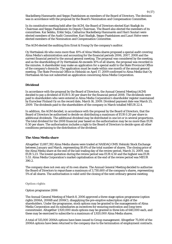Stackelberg-Hammarén and Seppo Paatelainen as members of the Board of Directors. The decision was in accordance with the proposal by the Board's Nomination and Compensation Committee.

In its constitutive meeting held after the AGM, the Board of Directors elected Kari Stadigh its Chairman and Seppo Paatelainen its Deputy Chairman. The Board also elected the members of its committees. Kai Seikku, Erkki Solja, Catharina Stackelberg-Hammarén and Harri Suutari were elected members of the Audit Committee. Kari Stadigh, Seppo Paatelainen and Lauri Helve were elected members of the Nomination and Compensation Committee.

The AGM elected the auditing firm Ernst & Young Oy the company's auditor.

Oy Herttaässä Ab who owns more than 10% of Alma Media shares proposed a special audit covering Alma Media's administration and accounting for the financial periods 2006, 2007, 2008 and the current financial period to the annual general meeting. The proposal was considered by the meeting, and as the shareholding of Oy Herttaässä Ab exceeds 10% of all shares, the proposal was recorded in the minutes. A shareholder may make an application for a special audit to the State Provincial Office of the company's domicile. The application must be made within one month of the annual general meeting. The State Provincial Office in Helsinki on April 17, 2009 confirmed to Alma Media that Oy Herttaässä Ab has not submitted an application concerning Alma Media Corporation.

## **Dividend**

In accordance with the proposal by the Board of Directors, the Annual General Meeting (AGM) decided to pay a dividend of EUR 0.30 per share for the financial period 2008. The dividends were paid to shareholders who were entered in Alma Media Corporation's shareholder register maintained by Euroclear Finland Oy on the record date, March 16, 2009. Dividend payment date was March 25, 2009. The dividends paid to the shareholders of the company in March totalled MEUR 22.4.

In addition, the AGM decided, in accordance with the proposal by the Board of Directors, that the Board of Directors be authorised to decide on distributing a maximum of EUR 0.20 per share in additional dividends. The additional dividend may be distributed in one lot or in several proportions. The total dividend for the 2008 financial year based on the authorisation may be no more than EUR 0.50 per share. The authorisation includes a right to the Board of Directors to decide upon all other conditions pertaining to the distribution of the dividend.

## **The Alma Media share**

Altogether 13,887,392 Alma Media shares were traded at NASDAQ OMX Helsinki Stock Exchange between January and March, representing 18.6% of the total number of shares. The closing price of the Alma Media share at the end of the last trading day of the review period, March 31, 2009, was EUR 5.23. The lowest quotation during the review period was EUR 4.50 and the highest was EUR 5.53. Alma Media Corporation's market capitalisation at the end of the review period was MEUR 390.2.

The company does not own any of its own shares. The Annual General Meeting decided to authorise the Board of Directors to repurchase a maximum of 3,730,600 of the company's shares, representing 5% of all shares. The authorisation is valid until the closing of the next ordinary general meeting.

#### **Option rights**

#### Option programme 2006

The Annual General Meeting of March 8, 2006 approved a three-stage option programme (option rights 2006A, 2006B and 2006C), disapplying the pre-emptive subscription right of the shareholders. Under the programme, stock options may be granted to the managements of Alma Media Corporation and its subsidiaries as incentives for ensuring motivation and long-term commitment. Altogether 1,920,000 stock options may be granted in three lots of 640,000 each, and these may be exercised to subscribe to a maximum of 1,920,000 Alma Media shares.

A total of 515,000 2006A options have been issued to Group management. Altogether 75,000 of the 2006A options have been returned to the company due to the termination of employment contracts.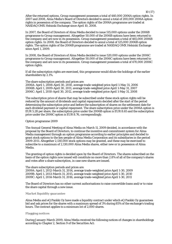After the returned options, Group management possesses a total of 440,000 2006A option rights. In 2007 and 2008, Alma Media's Board of Directors decided to annul a total of 200,000 2006A option rights in possession of the company. The option rights of the 2006A programme are traded at NASDAQ OMX Helsinki Exchange since April 10, 2008.

In 2007, the Board of Directors of Alma Media decided to issue 515,000 options under the 2006B programme to Group management. Altogether 50,000 of the 2006B options have been returned to the company and are now in its possession. Group management possesses a total of 465,000 2006B option rights. In 2008, the Board of Directors decided to annul a total of 125,000 2006B option rights. The option rights of the 2006B programme are traded at NASDAQ OMX Helsinki Exchange since April 1, 2009.

In 2008, the Board of Directors of Alma Media decided to issue 520,000 options under the 2006C programme to Group management. Altogether 50,000 of the 2006C options have been returned to the company and are now in its possession. Group management possesses a total of 470,000 2006C option rights.

If all the subscription rights are exercised, this programme would dilute the holdings of the earlier shareholders by 2.1%.

The share subscription periods and prices are: 2006A: April 1, 2008-April 30, 2010, average trade-weighted price April 1-May 31, 2006 2006B: April 1, 2009-April 30, 2011, average trade-weighted price April 1-May 31, 2007 2006C: April 1, 2010-April 30, 2012, average trade-weighted price April 1-May 31, 2008

The subscription price of shares that may be subscribed under these stock option rights will be reduced by the amount of dividends and capital repayments decided after the start of the period determining the subscription price and before the subscription of shares on the settlement date for each dividend payment or capital repayment. The share subscription price under the 2006A option is EUR 5.28 per share, the subscription price under the 2006B option is EUR 8.65 and the subscription price under the 2006C option is EUR 8.76, correspondingly.

## Option programme 2009

The Annual General Meeting of Alma Media on March 11, 2009 decided, in accordance with the proposal by the Board of Directors, to continue the incentive and commitment system for Alma Media management through an option programme according to earlier principles and decided to grant stock options to the key people of Alma Media Corporation and its subsidiaries in the period 2009-2011. Altogether 2,130,000 stock options may be granted, and these may be exercised to subscribe to a maximum of 2,130,000 Alma Media shares, either new or in possession of Alma Media.

The granting of option rights is decided upon by the Board of Directors. The shares subscribed on the basis of the option rights now issued will constitute no more than 2.8% of all of the company's shares and votes after a share subscription, in case new shares are issued.

The share subscription periods and prices are:

2009A: April 1, 2012-March 31, 2014, average trade-weighted price April 1-30, 2009 2009B: April 1, 2013-March 31, 2015, average trade-weighted price April 1-30, 2010 2009C: April 1, 2014-March 31, 2016, average trade-weighted price April 1-30, 2011

The Board of Directors has no other current authorisations to raise convertible loans and/or to raise the share capital through a new issue.

### **Market liquidity guarantee**

Alma Media and eQ Pankki Oy have made a liquidity contract under which eQ Pankki Oy guarantees bid and ask prices for the shares with a maximum spread of 3% during 85% of the exchange's trading hours. The contract applies to a minimum lot of 2,000 shares.

#### **Flagging notices**

During January-March 2009, Alma Media received the following notices of changes in shareholdings according to Chapter 2, Section 9 of the Securities Act: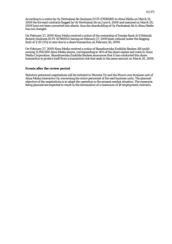According to a notice by Oy Herttaässä Ab (business ID FI-07616588) to Alma Media on March 31, 2009 the forward contracts flagged by Oy Herttaässä Ab on June 6, 2008 and matured on March 20, 2009 have not been converted into shares, thus the shareholding of Oy Herttaässä Ab in Alma Media has not changed.

On February 27, 2009 Alma Media received a notice of the ownership of Danske Bank A/S Helsinki Branch (business ID FI-10786932) having on February 27, 2009 been reduced under the flagging limit of 1/20 (5%) to zero due to a share transaction on February 26, 2009.

On February 27, 2009 Alma Media received a notice of Skandinaviska Enskilda Banken AB (publ) owning 11,958,000 Alma Media shares, corresponding to 16% of the share capital and votes in Alma Media Corporation. Skandinaviska Enskilda Banken announces that it has conducted this share transaction to protect itself from a transaction risk that ends in the same amount on March 20, 2009.

## **Events after the review period**

Statutory personnel negotiations will be initiated in Monster Oy and the Etuovi.com business unit of Alma Media Interactive Oy concerning the entire personnel of the said business units. The planned objective of the negotiations is to adapt the operation to the present market situation. The measures being planned are expected to result in the termination of a maximum of 18 employment contracts.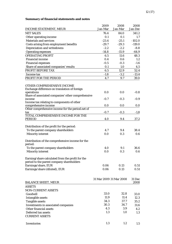## **Summary of financial statements and notes**

|                                                                    | 2009                    | 2008    | 2008           |
|--------------------------------------------------------------------|-------------------------|---------|----------------|
| <b>INCOME STATEMENT, MEUR</b>                                      | Jan-Mar                 | Jan-Mar | Jan-Dec        |
| <b>NET SALES</b>                                                   | 76.4                    | 84.0    | 341.2          |
| Other operating income                                             | 0.1                     | 0.1     | 1.7            |
| <b>Materials and services</b>                                      | $-23.4$                 | $-25.1$ | $-102.0$       |
| Costs arising from employment benefits                             | $-29.7$                 | $-29.3$ | $-119.0$       |
| Depreciation and writedowns                                        | $-2.2$                  | $-2.2$  | $-8.8$         |
| <b>Operating expenses</b>                                          | $-14.8$                 | $-15.9$ | $-64.9$        |
| <b>OPERATING PROFIT</b>                                            | 6.5                     | 11.6    | 48.3           |
| <b>Financial income</b>                                            | 0.4                     | 0.6     | 1.2            |
| <b>Financial expenses</b>                                          | $-0.5$                  | $-0.3$  | $-1.6$         |
| Share of associated companies' results                             | 0.1                     | 1.0     | 4.5            |
| PROFIT BEFORE TAX                                                  | 6.5                     | 12.9    | 52.4           |
| Income tax                                                         | $-1.8$                  | $-3.2$  | $-13.4$        |
| PROFIT FOR THE PERIOD                                              | 4.7                     | 9.7     | 39.0           |
| OTHER COMPREHENSIVE INCOME                                         |                         |         |                |
| Exchange difference on translation of foreign                      |                         |         |                |
| operations                                                         | 0.0                     | 0.0     | $-0.8$         |
| Share of associated companies' other comprehensive                 |                         |         |                |
| income                                                             | $-0.7$                  | $-0.3$  | $-0.9$         |
| Income tax relating to components of other<br>comprehensive income | 0.0                     | 0.0     |                |
| Other comprehensive income for the period.net of                   |                         |         | 0.0            |
| tax                                                                | $-0.7$                  | $-0.3$  | $-1.8$         |
| <b>TOTAL COMPREHENSIVE INCOME FOR THE</b>                          |                         |         |                |
| <b>PERIOD</b>                                                      | 4.0                     | 9.4     | 37.2           |
|                                                                    |                         |         |                |
| Distribution of the profit for the period:                         |                         |         |                |
| To the parent company shareholders                                 | 4.7                     | 9.4     | 38.4           |
| <b>Minority interest</b>                                           | 0.0                     | 0.3     | 0.6            |
| Distribution of the comprehensive income for the                   |                         |         |                |
| period:                                                            |                         |         |                |
| To the parent company shareholders                                 | 4.0                     | 9.1     | 36.6           |
| <b>Minority interest</b>                                           | 0.0                     | 0.3     | 0.6            |
|                                                                    |                         |         |                |
| Earning/share calculated from the profit for the                   |                         |         |                |
| period to the parent company shareholders                          |                         |         |                |
| Earnings/share, EUR                                                | 0.06                    | 0.13    | 0.51           |
| Earnings/share (diluted), EUR                                      | 0.06                    | 0.13    | 0.51           |
|                                                                    |                         |         |                |
| <b>BALANCE SHEET, MEUR</b>                                         | 31 Mar 2009 31 Mar 2008 |         | 31 Dec<br>2008 |
| <b>ASSETS</b>                                                      |                         |         |                |
| <b>NON-CURRENT ASSETS</b>                                          |                         |         |                |
| Goodwill                                                           | 33.0                    | 32.8    | 33.0           |
|                                                                    | 11.9                    | 11.4    |                |
| Intangible assets                                                  | 34.3                    | 37.7    | 12.3<br>35.2   |
| <b>Tangible assets</b>                                             | 30.3                    | 34.7    |                |
| Investments in associated companies                                | 4.3                     | 3.9     | 31.6           |
| Other financial assets                                             | 1.3                     | 1.0     | 4.2            |
| Deferred tax assets<br><b>CURRENT ASSETS</b>                       |                         |         | 1.3            |
|                                                                    |                         |         |                |
| <b>Inventories</b>                                                 | 1.3                     | 1.2     | 1.5            |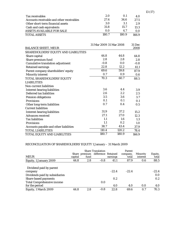| Tax receivables                             | 2.0                     | 0.1   | 4.0            |
|---------------------------------------------|-------------------------|-------|----------------|
| Accounts receivable and other receivables   | 27.4                    | 34.6  | 27.5           |
| Other short-term financial assets           | 3.0                     | 3.1   | 2.9            |
| Cash and cash equivalents                   | 31.8                    | 15.7  | 13.3           |
| <b>ASSETS AVAILABLE FOR SALE</b>            | 0.0                     | 4.7   | 0.0            |
| <b>TOTAL ASSETS</b>                         | 180.7                   | 180.9 | 166.9          |
| <b>BALANCE SHEET, MEUR</b>                  | 31 Mar 2009 31 Mar 2008 |       | 31 Dec<br>2008 |
| <b>SHAREHOLDERS' EQUITY AND LIABILITIES</b> |                         |       |                |
| Share capital                               | 44.8                    | 44.8  | 44.8           |
| Share premium fund                          | 2.8                     | 2.8   | 2.8            |
| <b>Cumulative translation adjustment</b>    | $-0.8$                  | 0.0   | $-0.8$         |
| <b>Retained earnings</b>                    | 22.8                    | 12.2  | 41.1           |
| Parent company shareholders' equity         | 69.6                    | 59.8  | 87.9           |
| <b>Minority interest</b>                    | 0.7                     | 0.9   | 0.6            |
| TOTAL SHAREHOLDERS' EQUITY                  | 70.3                    | 60.7  | 88.5           |
| <b>LIABILITIES</b>                          |                         |       |                |
| <b>Non-current liabilities</b>              |                         |       |                |
| <b>Interest-bearing liabilities</b>         | 3.6                     | 4.4   | 3.9            |
| Deferred tax liabilities                    | 2.6                     | 2.2   | 2.5            |
| <b>Pension obligations</b>                  | 3.5                     | 3.6   | 3.7            |
| <b>Provisions</b>                           | 0.1                     | 0.1   | 0.1            |

 Provisions 0.1 0.1 0.1 Other long-term liabilities 0.7 0.4 0.5

Interest-bearing liabilities 31.9 37.2 15.2<br>Advances received 27.1 27.0 12.3 Advances received 27.1 27.0 12.3<br>
Tax liabilities 1.1 1.6 1.3 Tax liabilities 1.1 1.6 1.3<br>Provisions 1.1 0.2 1.0 Provisions 1.1 0.2 1.0<br>Accounts payable and other liabilities 38.7 43.4 37.9 Accounts payable and other liabilities  $\frac{38.7}{110.4} \frac{43.4}{120.2} \frac{37.9}{78.4}$ TOTAL LIABILITIES 110.4 120.2 78.4<br>TOTAL EQUITY AND LIABILITIES 180.7 180.9 166.9 TOTAL EQUITY AND LIABILITIES 180.7 180.9 166.9

## RECONCILIATION OF SHAREHOLDERS' EQUITY 1 January – 31 March 2009

Current liabilities

| <b>MEUR</b>                                                          | capital | fund | <b>Share Translation</b><br>Share premium difference Retained | earnings | Parent<br>company,<br>total | <b>Minority</b><br>interest | Equity,<br>total |
|----------------------------------------------------------------------|---------|------|---------------------------------------------------------------|----------|-----------------------------|-----------------------------|------------------|
| Equity, 1 January 2009                                               | 44.8    | 2.8  | $-0.8$                                                        | 41.1     | 87.9                        | 0.6                         | 88.5             |
| Dividend paid by parent<br>company<br>Dividends paid by subsidiaries |         |      |                                                               | $-22.4$  | $-22.4$                     |                             | $-22.4$<br>0.0   |
| <b>Share-based payments</b>                                          |         |      |                                                               | 0.2      |                             |                             | 0.2              |
| <b>Total Comprehensive income</b><br>for the period                  |         |      | 0.0                                                           | 4.0      | 4.0                         | 0.0                         | 4.0              |
| Equity, 1 March 2009                                                 | 44.8    | 2.8  | $-0.8$                                                        | 22.8     | 69.6                        | 0.7                         | 70.3             |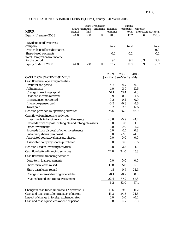# RECONCILIATION OF SHAREHOLDERS' EQUITY 1 January – 31 March 2008

|                                                                      |         |      | <b>Share Translation</b>          |          | Parent            |                 |                        |
|----------------------------------------------------------------------|---------|------|-----------------------------------|----------|-------------------|-----------------|------------------------|
| <b>MEUR</b>                                                          | capital | fund | Share premium difference Retained | earnings | company,<br>total | <b>Minority</b> | interest Equity, total |
| Equity, 1 January 2008                                               | 44.8    | 2.8  | 0.0                               | 70.0     | 117.7             | 0.6             | 118.3                  |
| Dividend paid by parent<br>company<br>Dividends paid by subsidiaries |         |      |                                   | $-67.2$  | $-67.2$           |                 | $-67.2$<br>0.0         |
| <b>Share-based payments</b>                                          |         |      |                                   | 0.2      | 0.2               |                 | 0.2                    |
| <b>Total Comprehensive income</b><br>for the period                  |         |      |                                   | 9.1      | 9.1               | 0.3             | 9.4                    |
| Equity, 1 March 2008                                                 | 44.8    | 2.8  | 0.0                               | 12.2     | 59.8              | 0.9             | 60.7                   |

|                                                          | 2009    | 2008                    | 2008    |
|----------------------------------------------------------|---------|-------------------------|---------|
| <b>CASH FLOW STATEMENT. MEUR</b>                         |         | Jan-Mar Jan-Mar Jan-Mar |         |
| Cash flow from operating activities                      |         |                         |         |
| Profit for the period                                    | 4.7     | 9.7                     | 39.0    |
| <b>Adjustments</b>                                       | 4.0     | 3.9                     | 17.5    |
| Change in working capital                                | 16.1    | 15.4                    | 4.0     |
| Dividend income received                                 | 0.9     | 0.2                     | 4.5     |
| Interest income received                                 | 0.2     | 0.4                     | 0.9     |
| Interest expenses paid                                   | $-0.5$  | $-0.3$                  | $-1.6$  |
| <b>Taxes paid</b>                                        | 0.2     | $-2.5$                  | $-17.5$ |
| Net cash provided by operating activities                | 25.6    | 26.8                    | 46.9    |
| Cash flow from investing activities                      |         |                         |         |
| Investments in tangible and intangible assets            | $-0.8$  | $-0.9$                  | $-4.2$  |
| Proceeds from disposal of tangible and intangible assets | 0.0     | 0.0                     | 1.0     |
| Other investments                                        | 0.0     | 0.0                     | $-1.2$  |
| Proceeds from disposal of other investments              | 0.0     | 0.1                     | 0.8     |
| Subsidiary shares purchased                              | 0.0     | $-2.0$                  | $-4.0$  |
| Associated company shares purchased                      | 0.0     | 0.0                     | 0.0     |
| Associated company shares purchased                      | 0.0     | 0.0                     | 6.5     |
| Net cash used in investing activities                    | $-0.8$  | $-2.8$                  | $-1.0$  |
| Cash flow before financing activities                    | 24.8    | 24.0                    | 45.8    |
| Cash flow from financing activities                      |         |                         |         |
| Long-term loan repayments                                | 0.0     | 0.0                     | 0.0     |
| Short-term loans raised                                  | 17.8    | 35.0                    | 35.0    |
| Short-term loans repaid                                  | $-1.5$  | $-0.6$                  | $-24.3$ |
| Change in interest-bearing receivables                   | $-0.1$  | $-0.2$                  | 0.0     |
| Dividends paid and capital repayment                     | $-22.4$ | $-67.2$                 | $-67.8$ |
|                                                          | $-6.2$  | $-33.0$                 | $-57.1$ |
| Change in cash funds (increase $+ /$ decrease -)         | 18.6    | $-9.0$                  | $-11.2$ |
| Cash and cash equivalents at start of period             | 13.3    | 24.8                    | 24.8    |
| Impact of change in foreign exchange rates               | 0.0     | 0.0                     | $-0.2$  |
| Cash and cash equivalents at end of period               | 31.8    | 15.7                    | 13.3    |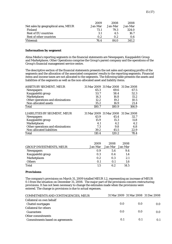|                                      | 2009    | 2008    | 2008    |
|--------------------------------------|---------|---------|---------|
| Net sales by geographical area, MEUR | Jan-Mar | Jan-Mar | Jan-Mar |
| Finland                              | 73.1    | 79.3    | 324.0   |
| <b>Rest of EU countries</b>          | 3.1     | 4.5     | 16.7    |
| Rest of other countries              | 0.2     | 0.2     | 0.6     |
| <b>Yhteensä</b>                      | 76.4    | 84.0    | 341.2   |

## **Information by segment**

Alma Media's reporting segments in the financial statements are Newspapers, Kauppalehti Group and Marketplaces. Other Operations comprise the Group's parent company and the operations of the Group's financial management service centre.

The descriptive section of the financial statements presents the net sales and operating profits of the segments and the allocation of the associated companies' results to the reporting segments. Financial items and income taxes are not allocated to the segments. The following table presents the assets and liabilities of the segments as well as the non-allocated asset and liability items.

| ASSETS BY SEGMENT, MEUR           |       | 31 Mar 2009 31 Mar 2008 31 Dec 2008 |       |
|-----------------------------------|-------|-------------------------------------|-------|
| <b>Newspapers</b>                 | 65.3  | 69.6                                | 67.5  |
| Kauppalehti group                 | 53.7  | 58.4                                | 52.3  |
| <b>Marketplaces</b>               | 14.3  | 16.8                                | 15.2  |
| Other operations and eliminations | 12.2  | 19.2                                | 10.5  |
| Non-allocated assets              | 35.2  | 16.9                                | 21.4  |
| Total                             | 180.7 | 180.9                               | 166.9 |
| LIABILITIES BY SEGMENT, MEUR      |       | 31 Mar 2009 31 Mar 2008 31 Dec 2008 |       |
| <b>Newspapers</b>                 | 43.9  | 45.4                                | 32.7  |
| Kauppalehti group                 | 15.9  | 15.3                                | 11.8  |
| <b>Marketplaces</b>               | 4.1   | 4.2                                 | 4.2   |
| Other operations and eliminations | 7.3   | 9.8                                 | 6.8   |
| Non-allocated liabilities         | 39.2  | 45.5                                | 22.9  |
|                                   |       |                                     |       |

|                                | 2009    | 2008            | 2008 |
|--------------------------------|---------|-----------------|------|
| <b>GROUP INVESTMENTS, MEUR</b> | Jan-Mar | Jan-Mar Jan-Mar |      |
| <b>Newspapers</b>              | 0.9     | 5.4             | 9.4  |
| Kauppalehti group              | 0.3     | 0.4             | 1.4  |
| <b>Marketplaces</b>            | 0.2     | 0.3             | 2.1  |
| <b>Others</b>                  | 0.1     | 0.1             | 1.6  |
| Total                          | 1.5     | 6.2             | 14.5 |

#### **Provisions**

The company's provisions on March 31, 2009 totalled MEUR 1.2, representing an increase of MEUR 0.1 from the situation on December 31, 2008. The major part of the provisions concern restructuring provisions. It has not been necessary to change the estimates made when the provisions were entered. The change in provisions is due to actual expenses.

| <b>COMMITMENTS AND CONTINGENCIES, MEUR</b> |     | 31 Mar 2009 31 Mar 2008 31 Dec 2008 |     |
|--------------------------------------------|-----|-------------------------------------|-----|
| Collateral on own behalf                   |     |                                     |     |
| <b>Chattel mortgages</b>                   | 0.0 | 0.0                                 | 0.0 |
| <b>Collateral for others</b>               |     |                                     |     |
| <b>Guarantees</b>                          | 0.0 | 0.0                                 | 0.0 |
| Other commitments                          |     |                                     |     |
| <b>Commitments based on agreements</b>     | 0.1 | 0.1                                 | 0.1 |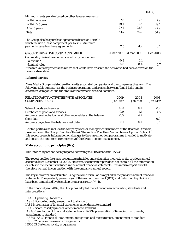| Minimum rents payable based on other lease agreements:                                                         |        |                                     |        |
|----------------------------------------------------------------------------------------------------------------|--------|-------------------------------------|--------|
| Within one year                                                                                                | 7.8    | 7.6                                 | 7.9    |
| Within 1-5 years                                                                                               | 19.4   | 17.4                                | 19.1   |
| After 5 years                                                                                                  | 27.4   | 25.8                                | 27.9   |
| Total                                                                                                          | 54.7   | 50.7                                | 54.9   |
| The Group also has purchase agreements based on IFRIC 4<br>which include a lease component per IAS 17. Minimum |        |                                     |        |
| payments based on these agreements:                                                                            | 2.5    | 4.2                                 | 3.1    |
| <b>GROUP DERIVATIVE CONTRACTS, MEUR</b>                                                                        |        | 31 Mar 2009 31 Mar 2008 31 Dec 2008 |        |
| Commodity derivative contracts. electricity derivatives                                                        |        |                                     |        |
| Fair value *                                                                                                   | $-0.2$ | 0.1                                 | $-0.1$ |
| Nominal value                                                                                                  | 0.8    | 0.4                                 | 0.7    |
| * the fair-value represents the return that would have arisen if the derivative had been cleared on the        |        |                                     |        |
| balance sheet date.                                                                                            |        |                                     |        |

16 (17)

## **Related parties**

Alma Media Group's related parties are its associated companies and the companies they own. The following table summarises the business operations undertaken between Alma Media and its associated companies and the status of their receivables and liabilities:

| RELATED PARTY ACTIVITIES WITH ASSOCIATED<br><b>COMPANIES, MEUR</b>           | 2009<br>Jan-Mar | 2008<br>Jan-Mar | 2008<br>Jan-Mar |
|------------------------------------------------------------------------------|-----------------|-----------------|-----------------|
| Sales of goods and services                                                  | 0.0             | 0.1             | 0.2             |
| Purchases of goods and services                                              | 0.9             | 1.1             | 4.5             |
| Accounts receivable, loan and other receivables at the balance<br>sheet date | 0.0             | 4.7             | 0.0             |
| Accounts payable at the balance sheet date                                   |                 | 0.1             | 0.1             |

Related parties also include the company's senior management (members of the Board of Directors, presidents and the Group Executive Team). The section The Alma Media Share – Option Rights of this report presents information on changes to the current option programme intended to motivate and secure the long-term commitment of the Group's senior management.

## **Main accounting principles (ifrs)**

This interim report has been prepared according to IFRS standards (IAS 34).

The report applies the same accounting principles and calculation methods as the previous annual accounts dated December 31, 2008. However, the interim report does not contain all the information or notes to the accounts included in the annual financial statements. This interim report should therefore be read in conjunction with the company's annual report.

The key indicators are calculated using the same formulae as applied in the previous annual financial statements. The quarterly percentages of Return on Investment (ROI) and Return on Equity (ROE) have been annualised by formula  $((1+quartal's return)^4)-1$ .

In the financial year 2009, the Group has adopted the following new accounting standards and interpretations:

IFRS 8 Operating Standards IAS 23 Borrowing costs, amendment to standard IAS 1 Presentation of financial statements, amendment to standard IFRS 2 Share-based payments, amendment to standard IAS 1: Presentation of financial statements and IAS 32 presentation of financing instruments, amendment to standard IAS 39: IAS 39 Financial Instruments: recognition and measurement, amendment to standard IFRIC 12 Service concession arrangements IFRIC 13 Customer loyalty programmes